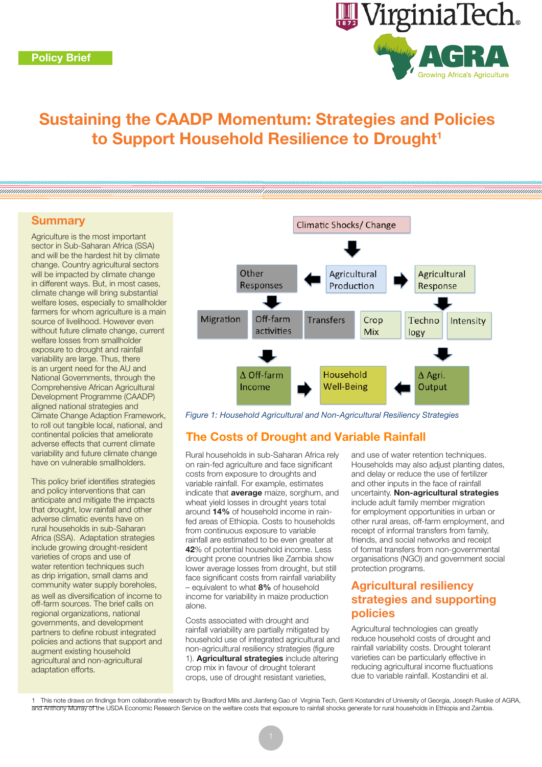

# Sustaining the CAADP Momentum: Strategies and Policies to Support Household Resilience to Drought<sup>1</sup>

## **Summary**

Agriculture is the most important sector in Sub-Saharan Africa (SSA) and will be the hardest hit by climate change. Country agricultural sectors will be impacted by climate change in different ways. But, in most cases, climate change will bring substantial welfare loses, especially to smallholder farmers for whom agriculture is a main source of livelihood. However even without future climate change, current welfare losses from smallholder exposure to drought and rainfall variability are large. Thus, there is an urgent need for the AU and National Governments, through the Comprehensive African Agricultural Development Programme (CAADP) aligned national strategies and Climate Change Adaption Framework, to roll out tangible local, national, and continental policies that ameliorate adverse effects that current climate variability and future climate change have on vulnerable smallholders.

This policy brief identifies strategies and policy interventions that can anticipate and mitigate the impacts that drought, low rainfall and other adverse climatic events have on rural households in sub-Saharan Africa (SSA). Adaptation strategies include growing drought-resident varieties of crops and use of water retention techniques such as drip irrigation, small dams and community water supply boreholes, as well as diversification of income to off-farm sources. The brief calls on regional organizations, national governments, and development partners to define robust integrated policies and actions that support and augment existing household agricultural and non-agricultural adaptation efforts.



*Figure 1: Household Agricultural and Non-Agricultural Resiliency Strategies*

# The Costs of Drought and Variable Rainfall

Rural households in sub-Saharan Africa rely on rain-fed agriculture and face significant costs from exposure to droughts and variable rainfall. For example, estimates indicate that **average** maize, sorghum, and wheat yield losses in drought years total around 14% of household income in rainfed areas of Ethiopia. Costs to households from continuous exposure to variable rainfall are estimated to be even greater at 42% of potential household income. Less drought prone countries like Zambia show lower average losses from drought, but still face significant costs from rainfall variability – equivalent to what 8% of household income for variability in maize production alone.

Costs associated with drought and rainfall variability are partially mitigated by household use of integrated agricultural and non-agricultural resiliency strategies (figure 1). Agricultural strategies include altering crop mix in favour of drought tolerant crops, use of drought resistant varieties,

and use of water retention techniques. Households may also adjust planting dates, and delay or reduce the use of fertilizer and other inputs in the face of rainfall uncertainty. Non-agricultural strategies include adult family member migration for employment opportunities in urban or other rural areas, off-farm employment, and receipt of informal transfers from family, friends, and social networks and receipt of formal transfers from non-governmental organisations (NGO) and government social protection programs.

## Agricultural resiliency strategies and supporting policies

Agricultural technologies can greatly reduce household costs of drought and rainfall variability costs. Drought tolerant varieties can be particularly effective in reducing agricultural income fluctuations due to variable rainfall. Kostandini et al.

<sup>1</sup> This note draws on findings from collaborative research by Bradford Mills and Jianfeng Gao of Virginia Tech, Genti Kostandini of University of Georgia, Joseph Rusike of AGRA, and Anthony Murray of the USDA Economic Research Service on the welfare costs that exposure to rainfall shocks generate for rural households in Ethiopia and Zambia.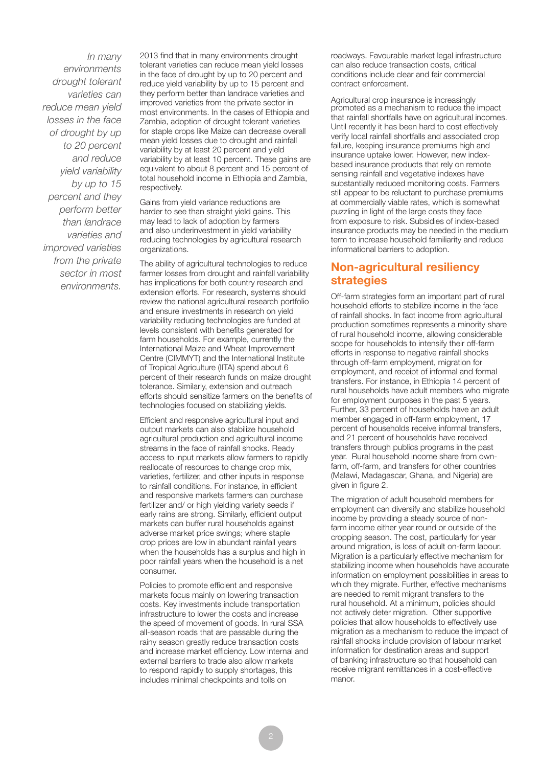*In many environments drought tolerant varieties can reduce mean yield losses in the face of drought by up to 20 percent and reduce yield variability by up to 15 percent and they perform better than landrace varieties and improved varieties from the private sector in most environments.*

2013 find that in many environments drought tolerant varieties can reduce mean yield losses in the face of drought by up to 20 percent and reduce yield variability by up to 15 percent and they perform better than landrace varieties and improved varieties from the private sector in most environments. In the cases of Ethiopia and Zambia, adoption of drought tolerant varieties for staple crops like Maize can decrease overall mean yield losses due to drought and rainfall variability by at least 20 percent and yield variability by at least 10 percent. These gains are equivalent to about 8 percent and 15 percent of total household income in Ethiopia and Zambia, respectively.

Gains from yield variance reductions are harder to see than straight yield gains. This may lead to lack of adoption by farmers and also underinvestment in yield variability reducing technologies by agricultural research organizations.

The ability of agricultural technologies to reduce farmer losses from drought and rainfall variability has implications for both country research and extension efforts. For research, systems should review the national agricultural research portfolio and ensure investments in research on yield variability reducing technologies are funded at levels consistent with benefits generated for farm households. For example, currently the International Maize and Wheat Improvement Centre (CIMMYT) and the International Institute of Tropical Agriculture (IITA) spend about 6 percent of their research funds on maize drought tolerance. Similarly, extension and outreach efforts should sensitize farmers on the benefits of technologies focused on stabilizing yields.

Efficient and responsive agricultural input and output markets can also stabilize household agricultural production and agricultural income streams in the face of rainfall shocks. Ready access to input markets allow farmers to rapidly reallocate of resources to change crop mix, varieties, fertilizer, and other inputs in response to rainfall conditions. For instance, in efficient and responsive markets farmers can purchase fertilizer and/ or high yielding variety seeds if early rains are strong. Similarly, efficient output markets can buffer rural households against adverse market price swings; where staple crop prices are low in abundant rainfall years when the households has a surplus and high in poor rainfall years when the household is a net consumer.

Policies to promote efficient and responsive markets focus mainly on lowering transaction costs. Key investments include transportation infrastructure to lower the costs and increase the speed of movement of goods. In rural SSA all-season roads that are passable during the rainy season greatly reduce transaction costs and increase market efficiency. Low internal and external barriers to trade also allow markets to respond rapidly to supply shortages, this includes minimal checkpoints and tolls on

roadways. Favourable market legal infrastructure can also reduce transaction costs, critical conditions include clear and fair commercial contract enforcement.

Agricultural crop insurance is increasingly promoted as a mechanism to reduce the impact that rainfall shortfalls have on agricultural incomes. Until recently it has been hard to cost effectively verify local rainfall shortfalls and associated crop failure, keeping insurance premiums high and insurance uptake lower. However, new indexbased insurance products that rely on remote sensing rainfall and vegetative indexes have substantially reduced monitoring costs. Farmers still appear to be reluctant to purchase premiums at commercially viable rates, which is somewhat puzzling in light of the large costs they face from exposure to risk. Subsidies of index-based insurance products may be needed in the medium term to increase household familiarity and reduce informational barriers to adoption.

## Non-agricultural resiliency strategies

Off-farm strategies form an important part of rural household efforts to stabilize income in the face of rainfall shocks. In fact income from agricultural production sometimes represents a minority share of rural household income, allowing considerable scope for households to intensify their off-farm efforts in response to negative rainfall shocks through off-farm employment, migration for employment, and receipt of informal and formal transfers. For instance, in Ethiopia 14 percent of rural households have adult members who migrate for employment purposes in the past 5 years. Further, 33 percent of households have an adult member engaged in off-farm employment, 17 percent of households receive informal transfers, and 21 percent of households have received transfers through publics programs in the past year. Rural household income share from ownfarm, off-farm, and transfers for other countries (Malawi, Madagascar, Ghana, and Nigeria) are given in figure 2.

The migration of adult household members for employment can diversify and stabilize household income by providing a steady source of nonfarm income either year round or outside of the cropping season. The cost, particularly for year around migration, is loss of adult on-farm labour. Migration is a particularly effective mechanism for stabilizing income when households have accurate information on employment possibilities in areas to which they migrate. Further, effective mechanisms are needed to remit migrant transfers to the rural household. At a minimum, policies should not actively deter migration. Other supportive policies that allow households to effectively use migration as a mechanism to reduce the impact of rainfall shocks include provision of labour market information for destination areas and support of banking infrastructure so that household can receive migrant remittances in a cost-effective manor.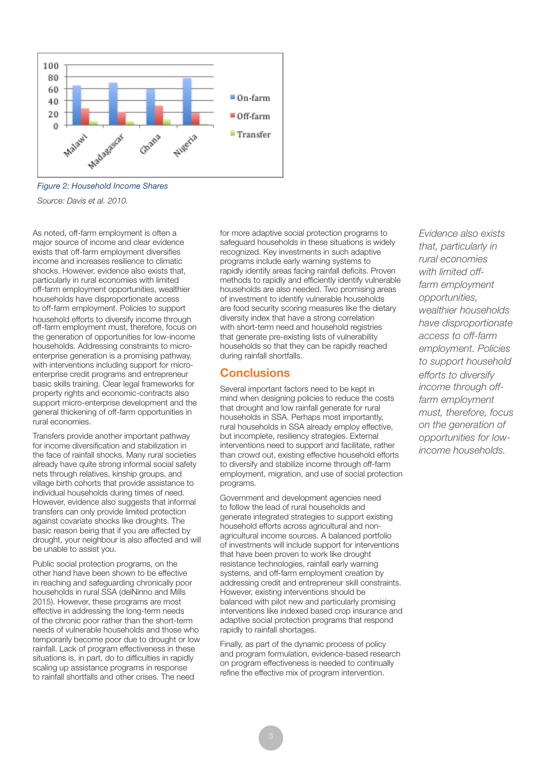

*Figure 2: Household Income Shares*

*Source: Davis et al. 2010.*

As noted, off-farm employment is often a major source of income and clear evidence exists that off-farm employment diversifies income and increases resilience to climatic shocks. However, evidence also exists that, particularly in rural economies with limited off-farm employment opportunities, wealthier households have disproportionate access to off-farm employment. Policies to support household efforts to diversify income through off-farm employment must, therefore, focus on the generation of opportunities for low-income households. Addressing constraints to microenterprise generation is a promising pathway, with interventions including support for microenterprise credit programs and entrepreneur basic skills training. Clear legal frameworks for property rights and economic-contracts also support micro-enterprise development and the general thickening of off-farm opportunities in rural economies.

Transfers provide another important pathway for income diversification and stabilization in the face of rainfall shocks. Many rural societies already have quite strong informal social safety nets through relatives, kinship groups, and village birth cohorts that provide assistance to individual households during times of need. However, evidence also suggests that informal transfers can only provide limited protection against covariate shocks like droughts. The basic reason being that if you are affected by drought, your neighbour is also affected and will be unable to assist you.

Public social protection programs, on the other hand have been shown to be effective in reaching and safeguarding chronically poor households in rural SSA (delNinno and Mills 2015). However, these programs are most effective in addressing the long-term needs of the chronic poor rather than the short-term needs of vulnerable households and those who temporarily become poor due to drought or low rainfall. Lack of program effectiveness in these situations is, in part, do to difficulties in rapidly scaling up assistance programs in response to rainfall shortfalls and other crises. The need

for more adaptive social protection programs to safeguard households in these situations is widely recognized. Key investments in such adaptive programs include early warning systems to rapidly identify areas facing rainfall deficits. Proven methods to rapidly and efficiently identify vulnerable households are also needed. Two promising areas of investment to identify vulnerable households are food security scoring measures like the dietary diversity index that have a strong correlation with short-term need and household registries that generate pre-existing lists of vulnerability households so that they can be rapidly reached during rainfall shortfalls.

## **Conclusions**

Several important factors need to be kept in mind when designing policies to reduce the costs that drought and low rainfall generate for rural households in SSA. Perhaps most importantly, rural households in SSA already employ effective, but incomplete, resiliency strategies. External interventions need to support and facilitate, rather than crowd out, existing effective household efforts to diversify and stabilize income through off-farm employment, migration, and use of social protection programs.

Government and development agencies need to follow the lead of rural households and generate integrated strategies to support existing household efforts across agricultural and nonagricultural income sources. A balanced portfolio of investments will include support for interventions that have been proven to work like drought resistance technologies, rainfall early warning systems, and off-farm employment creation by addressing credit and entrepreneur skill constraints. However, existing interventions should be balanced with pilot new and particularly promising interventions like indexed based crop insurance and adaptive social protection programs that respond rapidly to rainfall shortages.

Finally, as part of the dynamic process of policy and program formulation, evidence-based research on program effectiveness is needed to continually refine the effective mix of program intervention.

*Evidence also exists that, particularly in rural economies with limited offfarm employment opportunities, wealthier households have disproportionate access to off-farm employment. Policies to support household efforts to diversify income through offfarm employment must, therefore, focus on the generation of opportunities for lowincome households.*